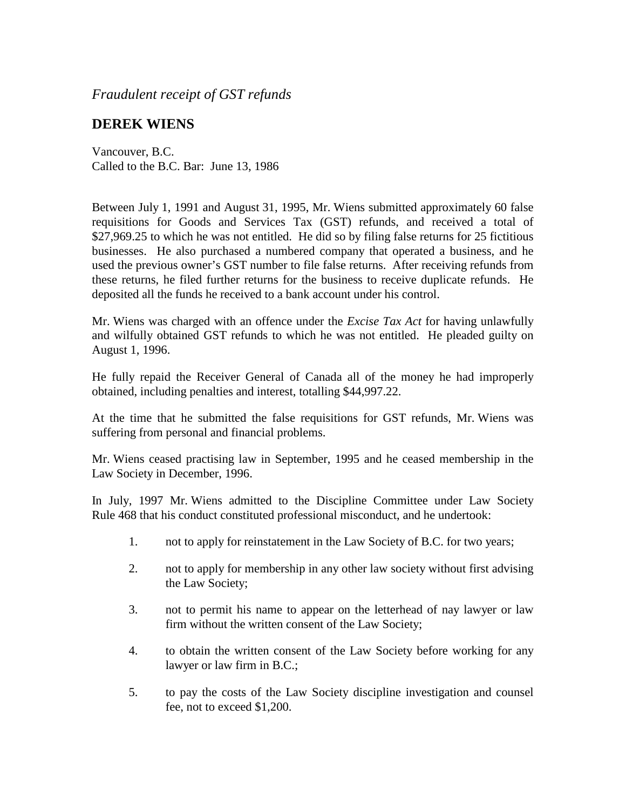*Fraudulent receipt of GST refunds*

## **DEREK WIENS**

Vancouver, B.C. Called to the B.C. Bar: June 13, 1986

Between July 1, 1991 and August 31, 1995, Mr. Wiens submitted approximately 60 false requisitions for Goods and Services Tax (GST) refunds, and received a total of \$27,969.25 to which he was not entitled. He did so by filing false returns for 25 fictitious businesses. He also purchased a numbered company that operated a business, and he used the previous owner's GST number to file false returns. After receiving refunds from these returns, he filed further returns for the business to receive duplicate refunds. He deposited all the funds he received to a bank account under his control.

Mr. Wiens was charged with an offence under the *Excise Tax Act* for having unlawfully and wilfully obtained GST refunds to which he was not entitled. He pleaded guilty on August 1, 1996.

He fully repaid the Receiver General of Canada all of the money he had improperly obtained, including penalties and interest, totalling \$44,997.22.

At the time that he submitted the false requisitions for GST refunds, Mr. Wiens was suffering from personal and financial problems.

Mr. Wiens ceased practising law in September, 1995 and he ceased membership in the Law Society in December, 1996.

In July, 1997 Mr. Wiens admitted to the Discipline Committee under Law Society Rule 468 that his conduct constituted professional misconduct, and he undertook:

- 1. not to apply for reinstatement in the Law Society of B.C. for two years;
- 2. not to apply for membership in any other law society without first advising the Law Society;
- 3. not to permit his name to appear on the letterhead of nay lawyer or law firm without the written consent of the Law Society;
- 4. to obtain the written consent of the Law Society before working for any lawyer or law firm in B.C.;
- 5. to pay the costs of the Law Society discipline investigation and counsel fee, not to exceed \$1,200.